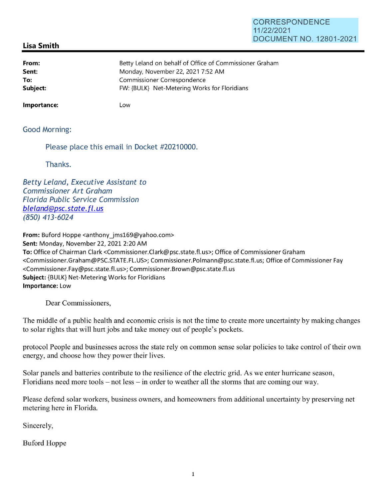## **CORRESPONDENCE** 11/22/2021 DOCUMENT NO. 12801-2021

## **Lisa Smith**

| From:    | Betty Leland on behalf of Office of Commissioner Graham |
|----------|---------------------------------------------------------|
| Sent:    | Monday, November 22, 2021 7:52 AM                       |
| To:      | Commissioner Correspondence                             |
| Subject: | FW: {BULK} Net-Metering Works for Floridians            |

**Importance:** Low

Good Morning:

Please place this email in Docket #20210000.

Thanks.

Betty Leland, Executive Assistant to Commissioner Art Graham Florida Public Service Commission bleland@psc.state.fl.us (850) 413-6024

**From:** Buford Hoppe <anthony\_jms169@yahoo.com> **Sent:** Monday, November 22, 2021 2:20 AM **To:** Office of Chairman Clark <Commissioner.Clark@psc.state.fl.us>; Office of Commissioner Graham <Commissioner.Graham@PSC.STATE.FL.US>; Commissioner.Polmann@psc.state.fl.us; Office of Commissioner Fay <Commissioner.Fay@psc.state.fl.us>; Commissioner.Brown@psc.state.fl.us **Subject:** {BULK} Net-Metering Works for Floridians **Importance:** Low

Dear Commissioners,

The middle of a public health and economic crisis is not the time to create more uncertainty by making changes to solar rights that will hurt jobs and take money out of people's pockets.

protocol People and businesses across the state rely on common sense solar policies to take control of their own energy, and choose how they power their lives.

Solar panels and batteries contribute to the resilience of the electric grid. As we enter hurricane season, Floridians need more tools  $-$  not less  $-$  in order to weather all the storms that are coming our way.

Please defend solar workers, business owners, and homeowners from additional uncertainty by preserving net metering here in Florida.

Sincerely,

Buford Hoppe